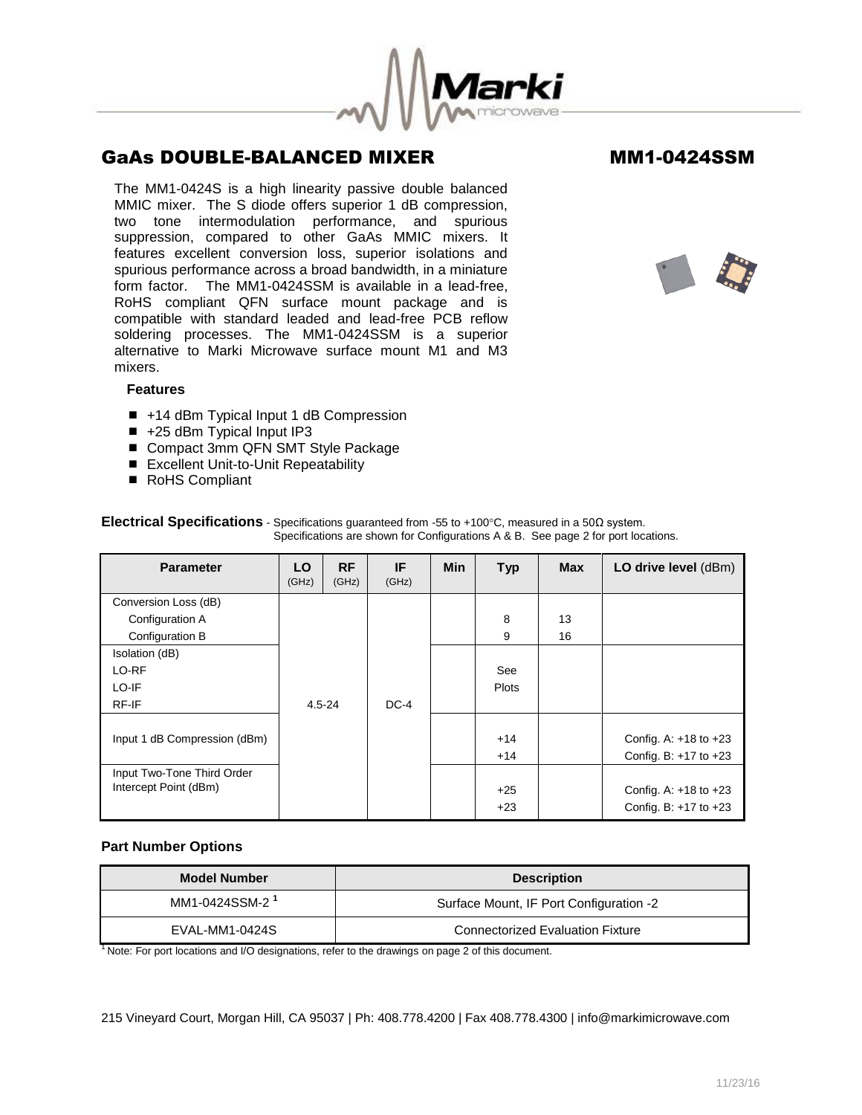

The MM1-0424S is a high linearity passive double balanced MMIC mixer. The S diode offers superior 1 dB compression, two tone intermodulation performance, and spurious suppression, compared to other GaAs MMIC mixers. It features excellent conversion loss, superior isolations and spurious performance across a broad bandwidth, in a miniature form factor. The MM1-0424SSM is available in a lead-free, RoHS compliant QFN surface mount package and is compatible with standard leaded and lead-free PCB reflow soldering processes. The MM1-0424SSM is a superior alternative to Marki Microwave surface mount M1 and M3 mixers.



## **Features**

- +14 dBm Typical Input 1 dB Compression
- +25 dBm Typical Input IP3
- Compact 3mm QFN SMT Style Package
- Excellent Unit-to-Unit Repeatability
- RoHS Compliant

| <b>Parameter</b>             | LO<br>(GHz) | <b>RF</b><br>(GHz) | IF<br>(GHz) | <b>Min</b> | <b>Typ</b>   | <b>Max</b> | LO drive level (dBm)      |
|------------------------------|-------------|--------------------|-------------|------------|--------------|------------|---------------------------|
| Conversion Loss (dB)         |             |                    |             |            |              |            |                           |
| Configuration A              |             |                    |             |            | 8            | 13         |                           |
| Configuration B              |             |                    |             |            | 9            | 16         |                           |
| Isolation (dB)               |             |                    |             |            |              |            |                           |
| LO-RF                        |             |                    |             | See        |              |            |                           |
| LO-IF                        |             |                    |             |            | <b>Plots</b> |            |                           |
| RF-IF                        | $4.5 - 24$  |                    | $DC-4$      |            |              |            |                           |
|                              |             |                    |             |            |              |            |                           |
| Input 1 dB Compression (dBm) |             |                    |             |            | $+14$        |            | Config. A: $+18$ to $+23$ |
|                              |             |                    |             |            | $+14$        |            | Config. B: $+17$ to $+23$ |
| Input Two-Tone Third Order   |             |                    |             |            |              |            |                           |
| Intercept Point (dBm)        |             |                    |             |            | $+25$        |            | Config. A: $+18$ to $+23$ |
|                              |             |                    |             |            | $+23$        |            | Config. B: $+17$ to $+23$ |

**Electrical Specifications** - Specifications guaranteed from -55 to +100°C, measured in a 50Ω system. Specifications are shown for Configurations A & B. See page 2 for port locations.

## **Part Number Options**

| <b>Model Number</b>        | <b>Description</b>                      |  |  |
|----------------------------|-----------------------------------------|--|--|
| MM1-0424SSM-2 <sup>1</sup> | Surface Mount, IF Port Configuration -2 |  |  |
| EVAL-MM1-0424S             | <b>Connectorized Evaluation Fixture</b> |  |  |

<sup>1</sup> Note: For port locations and I/O designations, refer to the drawings on page 2 of this document.

215 Vineyard Court, Morgan Hill, CA 95037 | Ph: 408.778.4200 | Fax 408.778.4300 | info@markimicrowave.com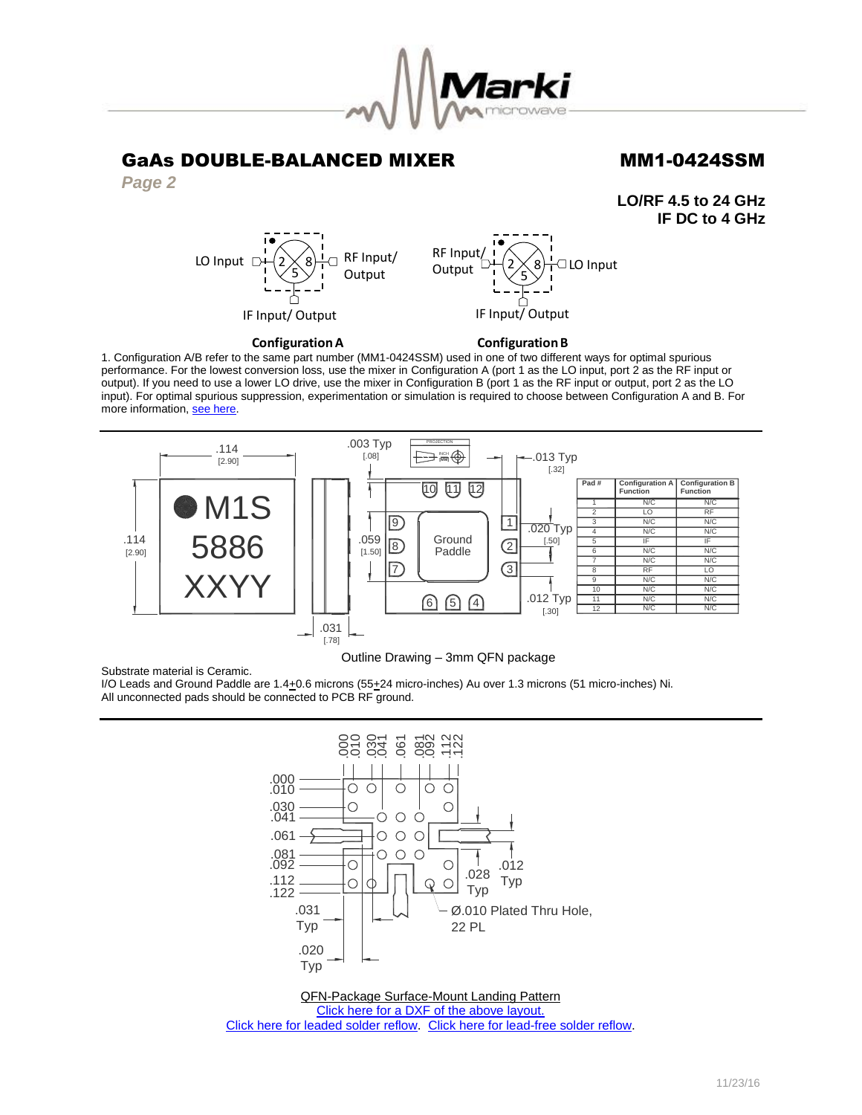

RF Input Output

## GaAs DOUBLE-BALANCED MIXER MM1-0424SSM

*Page 2*

**LO/RF 4.5 to 24 GHz IF DC to 4 GHz**



## **Configuration A**

### **Configuration B**

IF Input/Output

 $|2\rangle$  $5\big)$  □ LO Input

1. Configuration A/B refer to the same part number (MM1-0424SSM) used in one of two different ways for optimal spurious performance. For the lowest conversion loss, use the mixer in Configuration A (port 1 as the LO input, port 2 as the RF input or output). If you need to use a lower LO drive, use the mixer in Configuration B (port 1 as the RF input or output, port 2 as the LO input). For optimal spurious suppression, experimentation or simulation is required to choose between Configuration A and B. For more information[, see here.](http://www.markimicrowave.com/rf-microwave-qa/q/what-is-the-difference-between-configuration-a-and-configuration-b-on-mixers) 



## Outline Drawing – 3mm QFN package

Substrate material is Ceramic.

I/O Leads and Ground Paddle are 1.4+0.6 microns (55+24 micro-inches) Au over 1.3 microns (51 micro-inches) Ni. All unconnected pads should be connected to PCB RF ground.



QFN-Package Surface-Mount Landing Pattern [Click here for a DXF of the above layout.](http://www.markimicrowave.com/menus/appnotes/qfn12l.zip) [Click here for leaded solder reflow.](http://www.markimicrowave.com/Assets/appnotes/reflow.pdf) [Click here for lead-free solder reflow.](http://www.markimicrowave.com/Assets/appnotes/reflow-lf.pdf)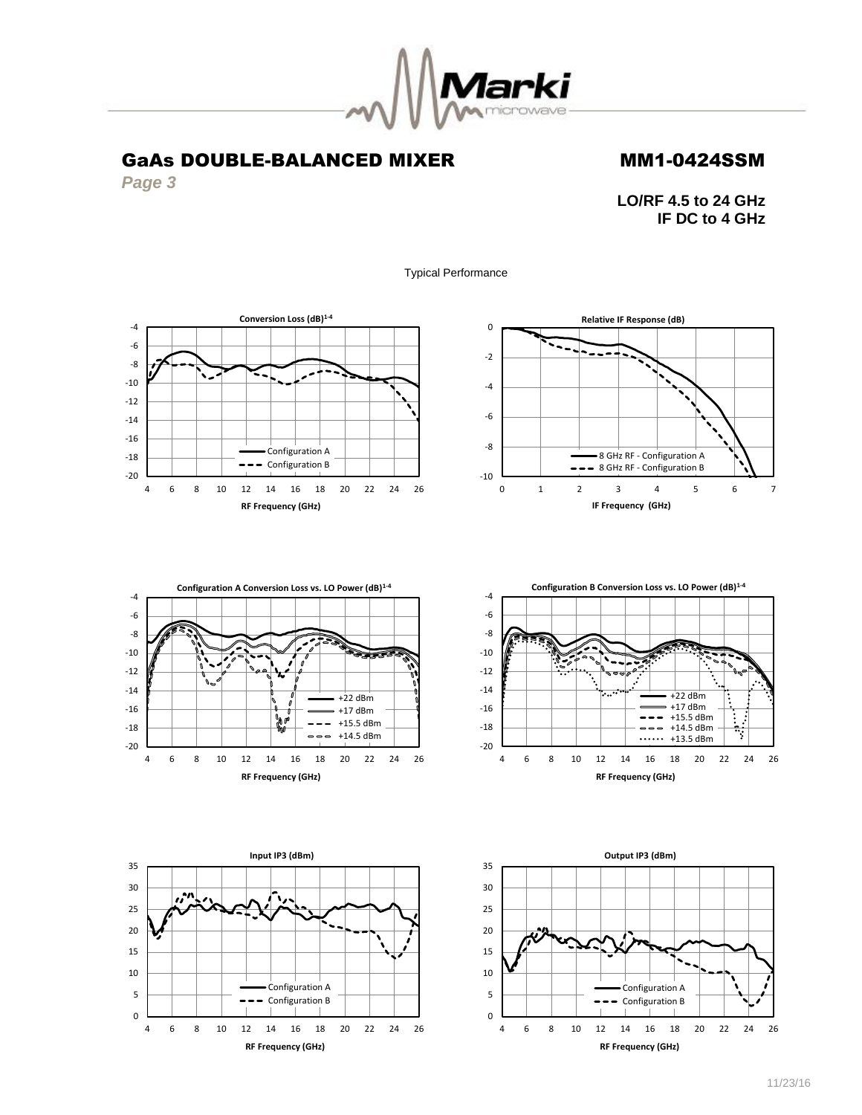

*Page 3*

**LO/RF 4.5 to 24 GHz IF DC to 4 GHz**

Typical Performance











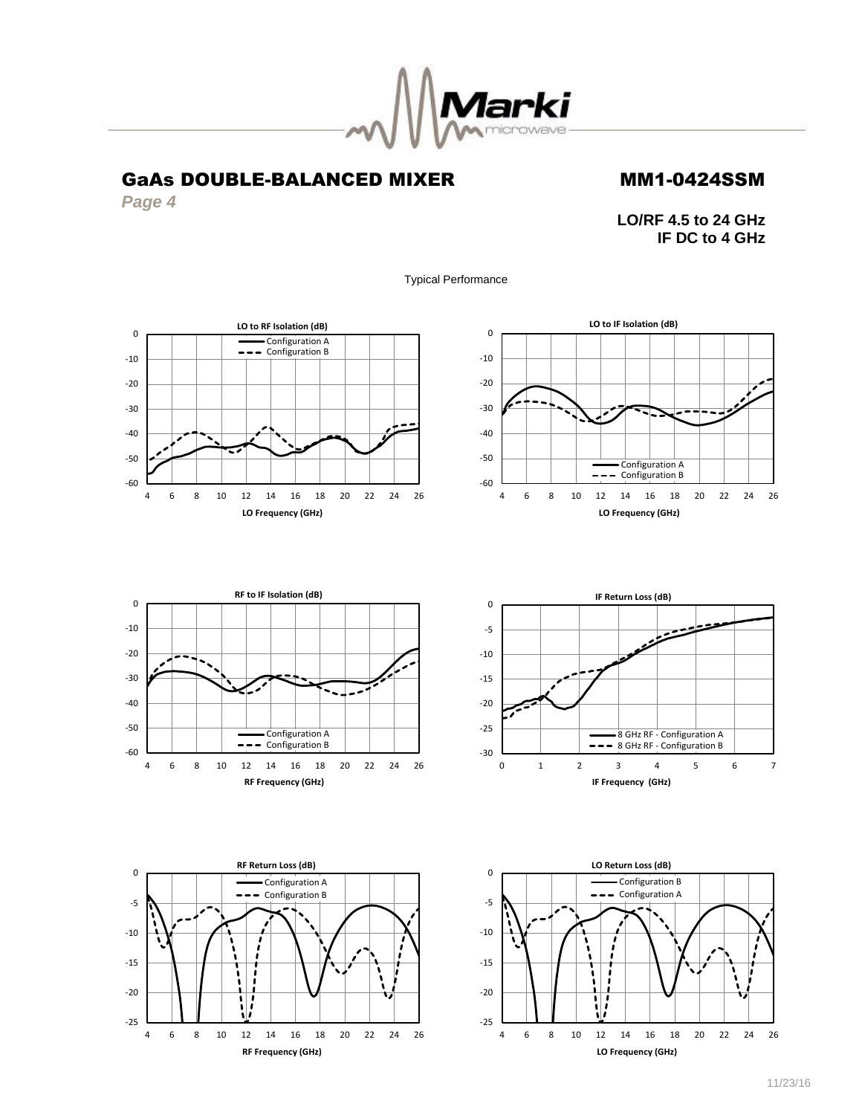

*Page 4*

## **LO/RF 4.5 to 24 GHz IF DC to 4 GHz**

Typical Performance











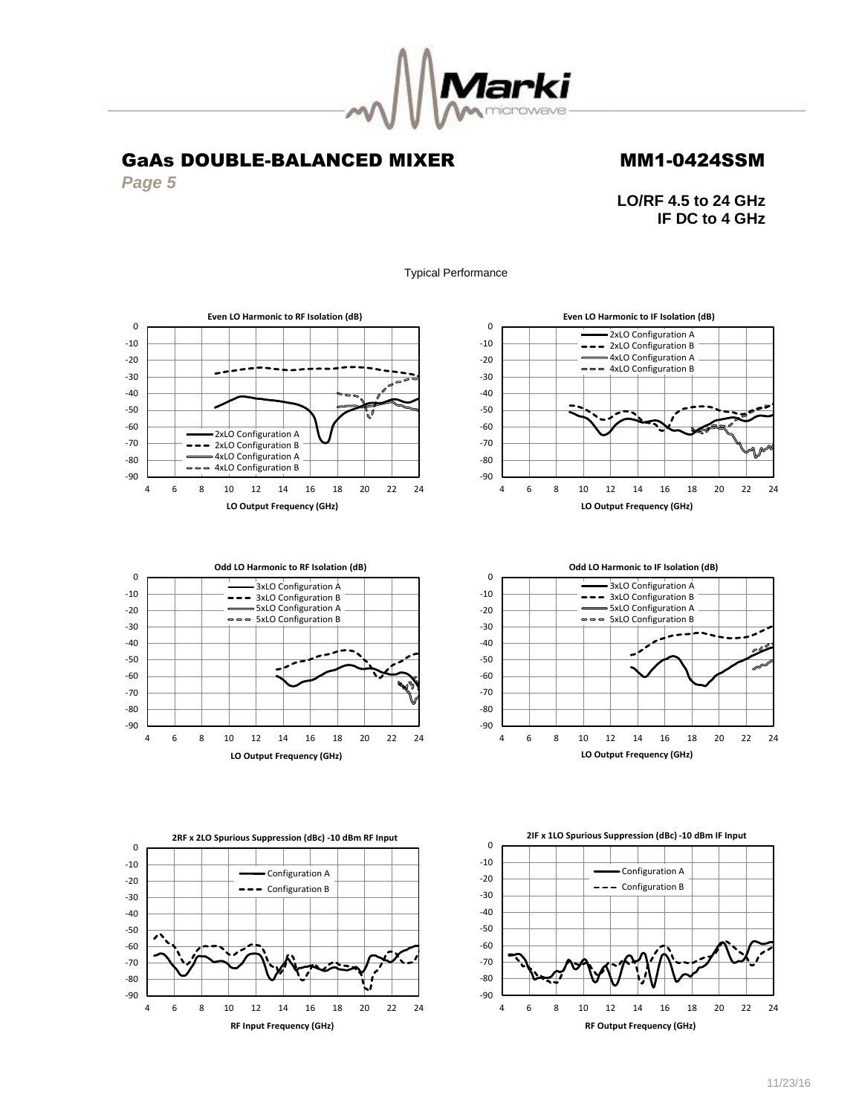

*Page 5*

**LO/RF 4.5 to 24 GHz IF DC to 4 GHz**

Typical Performance











**2IF x 1LO Spurious Suppression (dBc) -10 dBm IF Input**

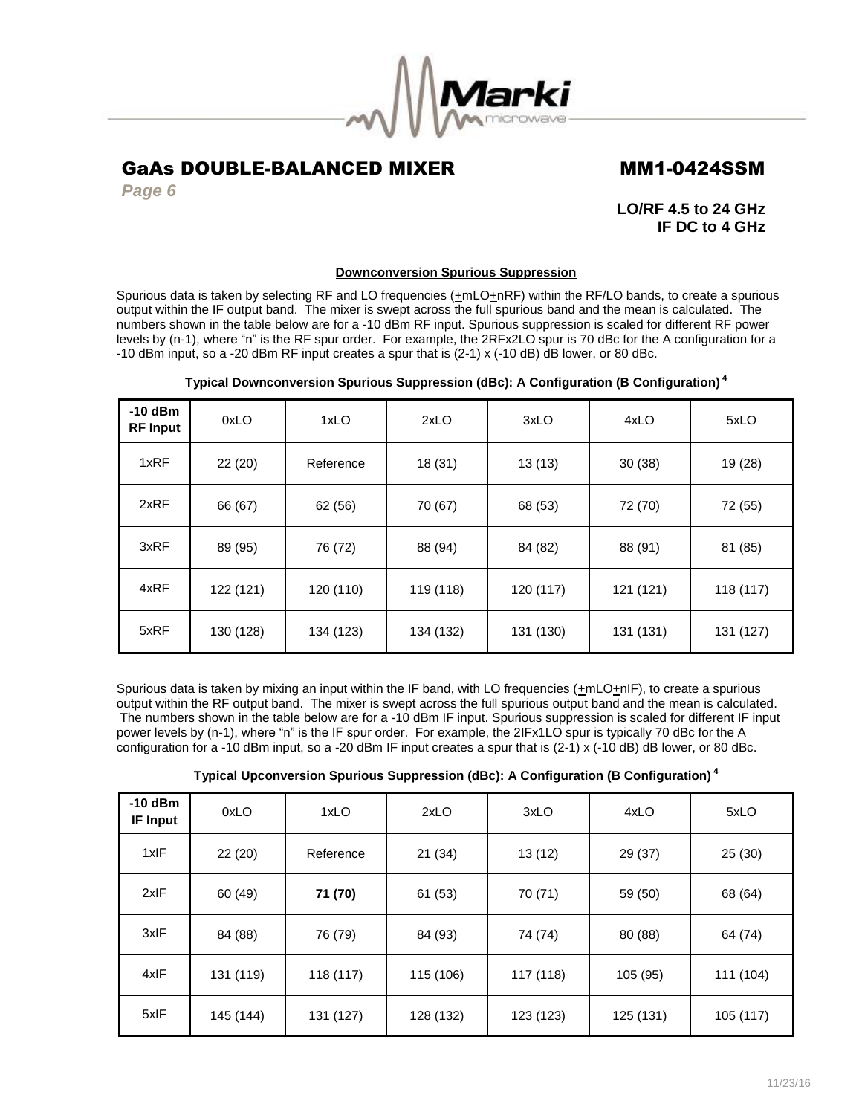

*Page 6*

**LO/RF 4.5 to 24 GHz IF DC to 4 GHz**

## **Downconversion Spurious Suppression**

Spurious data is taken by selecting RF and LO frequencies  $(\pm mLO+\text{nRF})$  within the RF/LO bands, to create a spurious output within the IF output band. The mixer is swept across the full spurious band and the mean is calculated. The numbers shown in the table below are for a -10 dBm RF input. Spurious suppression is scaled for different RF power levels by (n-1), where "n" is the RF spur order. For example, the 2RFx2LO spur is 70 dBc for the A configuration for a -10 dBm input, so a -20 dBm RF input creates a spur that is (2-1) x (-10 dB) dB lower, or 80 dBc.

| $-10$ dBm<br><b>RF Input</b> | 0xLO      | 1xLO      | 2xLO      | 3xLO      | 4xLO      | 5xLO      |
|------------------------------|-----------|-----------|-----------|-----------|-----------|-----------|
| 1xRF                         | 22(20)    | Reference | 18 (31)   | 13(13)    | 30(38)    | 19 (28)   |
| 2xRF                         | 66 (67)   | 62 (56)   | 70 (67)   | 68 (53)   | 72 (70)   | 72 (55)   |
| 3xRF                         | 89 (95)   | 76 (72)   | 88 (94)   | 84 (82)   | 88 (91)   | 81 (85)   |
| 4xRF                         | 122 (121) | 120 (110) | 119 (118) | 120 (117) | 121 (121) | 118 (117) |
| 5xRF                         | 130 (128) | 134 (123) | 134 (132) | 131 (130) | 131 (131) | 131 (127) |

## **Typical Downconversion Spurious Suppression (dBc): A Configuration (B Configuration) <sup>4</sup>**

Spurious data is taken by mixing an input within the IF band, with LO frequencies ( $\pm mLO\pm nIP$ ), to create a spurious output within the RF output band. The mixer is swept across the full spurious output band and the mean is calculated. The numbers shown in the table below are for a -10 dBm IF input. Spurious suppression is scaled for different IF input power levels by (n-1), where "n" is the IF spur order. For example, the 2IFx1LO spur is typically 70 dBc for the A configuration for a -10 dBm input, so a -20 dBm IF input creates a spur that is (2-1) x (-10 dB) dB lower, or 80 dBc.

| Typical Upconversion Spurious Suppression (dBc): A Configuration (B Configuration) $^{\textrm{\tiny{4}}}$ |  |
|-----------------------------------------------------------------------------------------------------------|--|
|-----------------------------------------------------------------------------------------------------------|--|

| $-10$ dBm<br><b>IF Input</b> | 0xLO      | 1xLO      | 2xLO      | 3xLO      | 4xLO      | 5xLO      |
|------------------------------|-----------|-----------|-----------|-----------|-----------|-----------|
| 1xIF                         | 22(20)    | Reference | 21(34)    | 13(12)    | 29 (37)   | 25(30)    |
| 2xIF                         | 60 (49)   | 71 (70)   | 61 (53)   | 70 (71)   | 59 (50)   | 68 (64)   |
| 3xIF                         | 84 (88)   | 76 (79)   | 84 (93)   | 74 (74)   | 80 (88)   | 64 (74)   |
| 4xIF                         | 131 (119) | 118 (117) | 115 (106) | 117 (118) | 105 (95)  | 111 (104) |
| 5xIF                         | 145 (144) | 131 (127) | 128 (132) | 123 (123) | 125 (131) | 105 (117) |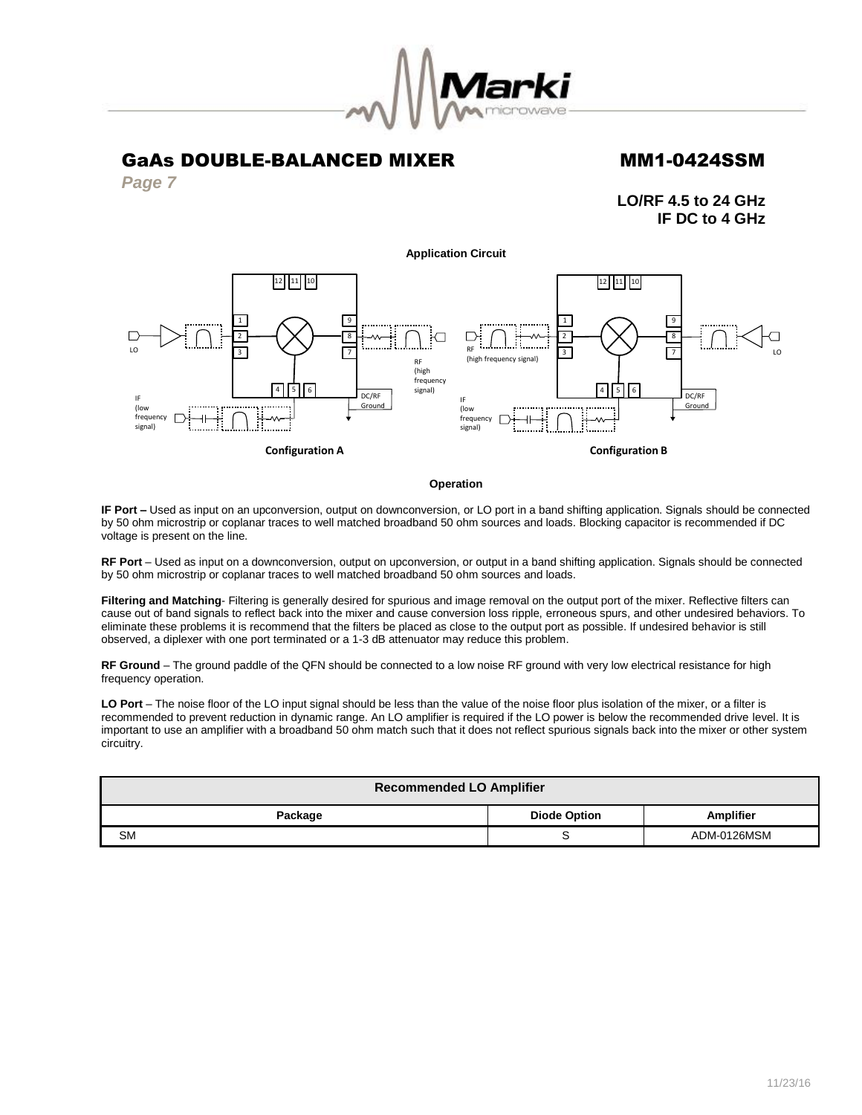

*Page 7*

**LO/RF 4.5 to 24 GHz IF DC to 4 GHz**

### **Application Circuit**



### **Operation**

**IF Port –** Used as input on an upconversion, output on downconversion, or LO port in a band shifting application. Signals should be connected by 50 ohm microstrip or coplanar traces to well matched broadband 50 ohm sources and loads. Blocking capacitor is recommended if DC voltage is present on the line.

**RF Port** – Used as input on a downconversion, output on upconversion, or output in a band shifting application. Signals should be connected by 50 ohm microstrip or coplanar traces to well matched broadband 50 ohm sources and loads.

**Filtering and Matching**- Filtering is generally desired for spurious and image removal on the output port of the mixer. Reflective filters can cause out of band signals to reflect back into the mixer and cause conversion loss ripple, erroneous spurs, and other undesired behaviors. To eliminate these problems it is recommend that the filters be placed as close to the output port as possible. If undesired behavior is still observed, a diplexer with one port terminated or a 1-3 dB attenuator may reduce this problem.

**RF Ground** – The ground paddle of the QFN should be connected to a low noise RF ground with very low electrical resistance for high frequency operation.

**LO Port** – The noise floor of the LO input signal should be less than the value of the noise floor plus isolation of the mixer, or a filter is recommended to prevent reduction in dynamic range. An LO amplifier is required if the LO power is below the recommended drive level. It is important to use an amplifier with a broadband 50 ohm match such that it does not reflect spurious signals back into the mixer or other system circuitry.

| <b>Recommended LO Amplifier</b>                    |   |             |  |  |  |
|----------------------------------------------------|---|-------------|--|--|--|
| <b>Amplifier</b><br><b>Diode Option</b><br>Package |   |             |  |  |  |
| <b>SM</b>                                          | ບ | ADM-0126MSM |  |  |  |